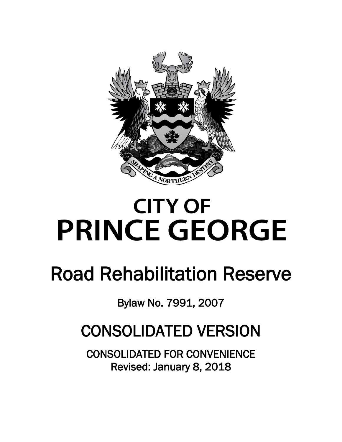

# **CITY OF PRINCE GEORGE**

## Road Rehabilitation Reserve

Bylaw No. 7991, 2007

### CONSOLIDATED VERSION

CONSOLIDATED FOR CONVENIENCE Revised: January 8, 2018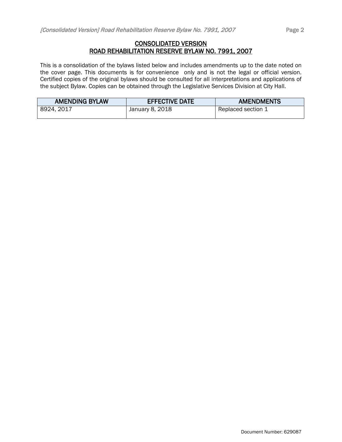#### CONSOLIDATED VERSION ROAD REHABILITATION RESERVE BYLAW NO. 7991, 2007

This is a consolidation of the bylaws listed below and includes amendments up to the date noted on the cover page. This documents is for convenience only and is not the legal or official version. Certified copies of the original bylaws should be consulted for all interpretations and applications of the subject Bylaw. Copies can be obtained through the Legislative Services Division at City Hall.

| <b>AMENDING BYLAW</b> | <b>EFFECTIVE DATE</b> | <b>AMENDMENTS</b>  |
|-----------------------|-----------------------|--------------------|
| 8924, 2017            | January 8, 2018       | Replaced section 1 |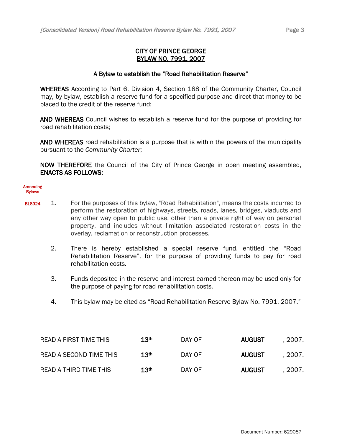#### CITY OF PRINCE GEORGE BYLAW NO. 7991, 2007

#### A Bylaw to establish the "Road Rehabilitation Reserve"

WHEREAS According to Part 6, Division 4, Section 188 of the Community Charter, Council may, by bylaw, establish a reserve fund for a specified purpose and direct that money to be placed to the credit of the reserve fund;

AND WHEREAS Council wishes to establish a reserve fund for the purpose of providing for road rehabilitation costs;

AND WHEREAS road rehabilitation is a purpose that is within the powers of the municipality pursuant to the *Community Charter*;

NOW THEREFORE the Council of the City of Prince George in open meeting assembled, ENACTS AS FOLLOWS:

#### Amending **Bylaws**

- BL8924 1. For the purposes of this bylaw, "Road Rehabilitation", means the costs incurred to perform the restoration of highways, streets, roads, lanes, bridges, viaducts and any other way open to public use, other than a private right of way on personal property, and includes without limitation associated restoration costs in the overlay, reclamation or reconstruction processes.
	- 2. There is hereby established a special reserve fund, entitled the "Road Rehabilitation Reserve", for the purpose of providing funds to pay for road rehabilitation costs.
	- 3. Funds deposited in the reserve and interest earned thereon may be used only for the purpose of paying for road rehabilitation costs.
	- 4. This bylaw may be cited as "Road Rehabilitation Reserve Bylaw No. 7991, 2007."

| READ A FIRST TIME THIS  | 13 <sup>th</sup> | DAY OF | <b>AUGUST</b> | . 2007. |
|-------------------------|------------------|--------|---------------|---------|
| READ A SECOND TIME THIS | 13 <sup>th</sup> | DAY OF | <b>AUGUST</b> | . 2007. |
| READ A THIRD TIME THIS  | 13 <sup>th</sup> | DAY OF | <b>AUGUST</b> | . 2007. |